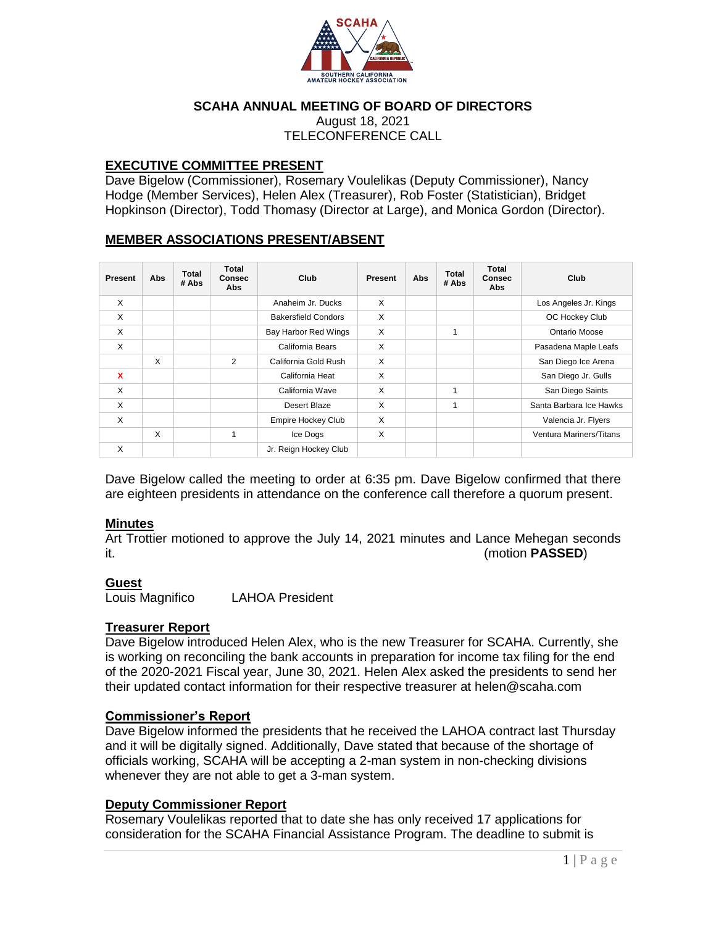

#### **SCAHA ANNUAL MEETING OF BOARD OF DIRECTORS**

August 18, 2021 TELECONFERENCE CALL

#### **EXECUTIVE COMMITTEE PRESENT**

Dave Bigelow (Commissioner), Rosemary Voulelikas (Deputy Commissioner), Nancy Hodge (Member Services), Helen Alex (Treasurer), Rob Foster (Statistician), Bridget Hopkinson (Director), Todd Thomasy (Director at Large), and Monica Gordon (Director).

# **MEMBER ASSOCIATIONS PRESENT/ABSENT**

| Present | Abs | <b>Total</b><br># Abs | <b>Total</b><br><b>Consec</b><br>Abs | Club                       | Present | Abs | <b>Total</b><br># Abs | <b>Total</b><br><b>Consec</b><br>Abs | Club                    |
|---------|-----|-----------------------|--------------------------------------|----------------------------|---------|-----|-----------------------|--------------------------------------|-------------------------|
| X       |     |                       |                                      | Anaheim Jr. Ducks          | X       |     |                       |                                      | Los Angeles Jr. Kings   |
| X       |     |                       |                                      | <b>Bakersfield Condors</b> | X       |     |                       |                                      | OC Hockey Club          |
| X       |     |                       |                                      | Bay Harbor Red Wings       | X       |     | 1                     |                                      | Ontario Moose           |
| X       |     |                       |                                      | California Bears           | X       |     |                       |                                      | Pasadena Maple Leafs    |
|         | X   |                       | $\overline{2}$                       | California Gold Rush       | X       |     |                       |                                      | San Diego Ice Arena     |
| X       |     |                       |                                      | California Heat            | X       |     |                       |                                      | San Diego Jr. Gulls     |
| X       |     |                       |                                      | California Wave            | X       |     | 1                     |                                      | San Diego Saints        |
| X       |     |                       |                                      | Desert Blaze               | X       |     | 1                     |                                      | Santa Barbara Ice Hawks |
| X       |     |                       |                                      | <b>Empire Hockey Club</b>  | X       |     |                       |                                      | Valencia Jr. Flyers     |
|         | X   |                       | 1                                    | Ice Dogs                   | X       |     |                       |                                      | Ventura Mariners/Titans |
| X       |     |                       |                                      | Jr. Reign Hockey Club      |         |     |                       |                                      |                         |

Dave Bigelow called the meeting to order at 6:35 pm. Dave Bigelow confirmed that there are eighteen presidents in attendance on the conference call therefore a quorum present.

#### **Minutes**

Art Trottier motioned to approve the July 14, 2021 minutes and Lance Mehegan seconds it. (motion **PASSED**)

#### **Guest**

Louis Magnifico LAHOA President

# **Treasurer Report**

Dave Bigelow introduced Helen Alex, who is the new Treasurer for SCAHA. Currently, she is working on reconciling the bank accounts in preparation for income tax filing for the end of the 2020-2021 Fiscal year, June 30, 2021. Helen Alex asked the presidents to send her their updated contact information for their respective treasurer at helen@scaha.com

# **Commissioner's Report**

Dave Bigelow informed the presidents that he received the LAHOA contract last Thursday and it will be digitally signed. Additionally, Dave stated that because of the shortage of officials working, SCAHA will be accepting a 2-man system in non-checking divisions whenever they are not able to get a 3-man system.

# **Deputy Commissioner Report**

Rosemary Voulelikas reported that to date she has only received 17 applications for consideration for the SCAHA Financial Assistance Program. The deadline to submit is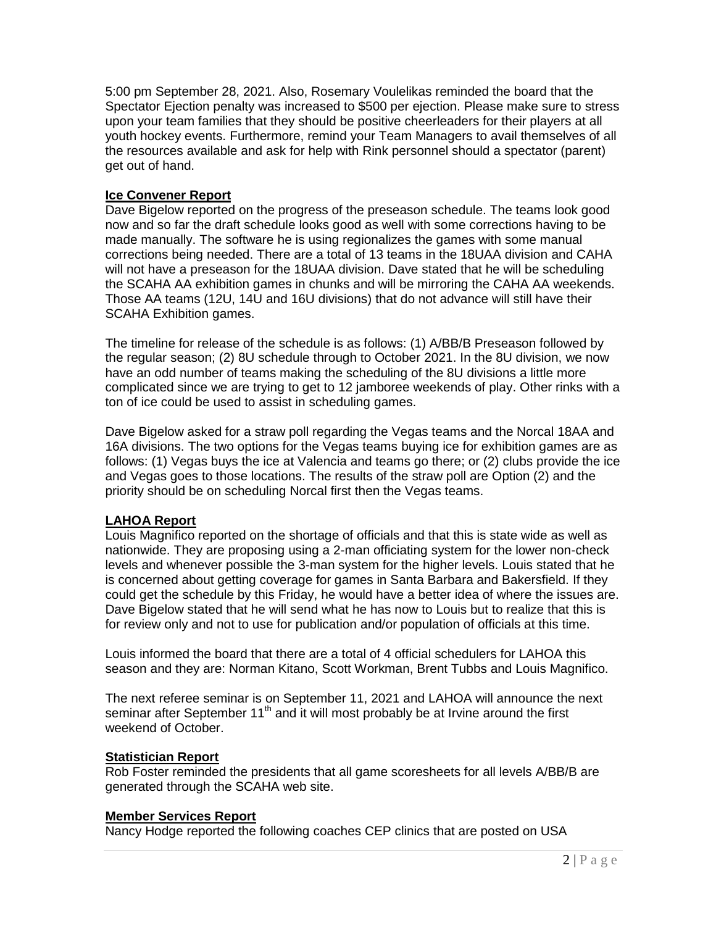5:00 pm September 28, 2021. Also, Rosemary Voulelikas reminded the board that the Spectator Ejection penalty was increased to \$500 per ejection. Please make sure to stress upon your team families that they should be positive cheerleaders for their players at all youth hockey events. Furthermore, remind your Team Managers to avail themselves of all the resources available and ask for help with Rink personnel should a spectator (parent) get out of hand.

# **Ice Convener Report**

Dave Bigelow reported on the progress of the preseason schedule. The teams look good now and so far the draft schedule looks good as well with some corrections having to be made manually. The software he is using regionalizes the games with some manual corrections being needed. There are a total of 13 teams in the 18UAA division and CAHA will not have a preseason for the 18UAA division. Dave stated that he will be scheduling the SCAHA AA exhibition games in chunks and will be mirroring the CAHA AA weekends. Those AA teams (12U, 14U and 16U divisions) that do not advance will still have their SCAHA Exhibition games.

The timeline for release of the schedule is as follows: (1) A/BB/B Preseason followed by the regular season; (2) 8U schedule through to October 2021. In the 8U division, we now have an odd number of teams making the scheduling of the 8U divisions a little more complicated since we are trying to get to 12 jamboree weekends of play. Other rinks with a ton of ice could be used to assist in scheduling games.

Dave Bigelow asked for a straw poll regarding the Vegas teams and the Norcal 18AA and 16A divisions. The two options for the Vegas teams buying ice for exhibition games are as follows: (1) Vegas buys the ice at Valencia and teams go there; or (2) clubs provide the ice and Vegas goes to those locations. The results of the straw poll are Option (2) and the priority should be on scheduling Norcal first then the Vegas teams.

# **LAHOA Report**

Louis Magnifico reported on the shortage of officials and that this is state wide as well as nationwide. They are proposing using a 2-man officiating system for the lower non-check levels and whenever possible the 3-man system for the higher levels. Louis stated that he is concerned about getting coverage for games in Santa Barbara and Bakersfield. If they could get the schedule by this Friday, he would have a better idea of where the issues are. Dave Bigelow stated that he will send what he has now to Louis but to realize that this is for review only and not to use for publication and/or population of officials at this time.

Louis informed the board that there are a total of 4 official schedulers for LAHOA this season and they are: Norman Kitano, Scott Workman, Brent Tubbs and Louis Magnifico.

The next referee seminar is on September 11, 2021 and LAHOA will announce the next seminar after September  $11<sup>th</sup>$  and it will most probably be at Irvine around the first weekend of October.

# **Statistician Report**

Rob Foster reminded the presidents that all game scoresheets for all levels A/BB/B are generated through the SCAHA web site.

# **Member Services Report**

Nancy Hodge reported the following coaches CEP clinics that are posted on USA